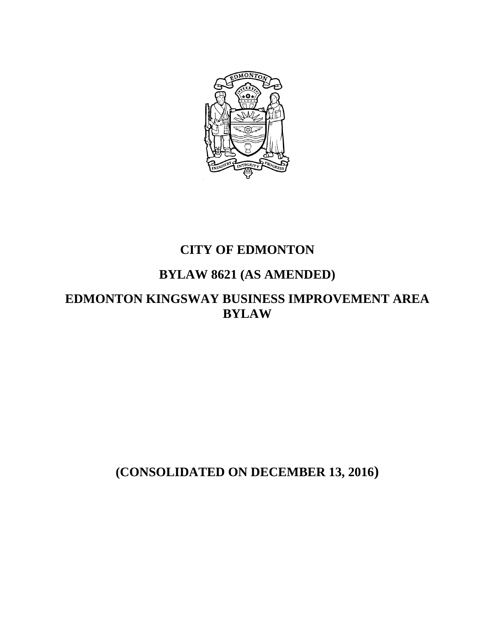

# **CITY OF EDMONTON**

# **BYLAW 8621 (AS AMENDED)**

**EDMONTON KINGSWAY BUSINESS IMPROVEMENT AREA BYLAW** 

**(CONSOLIDATED ON DECEMBER 13, 2016)**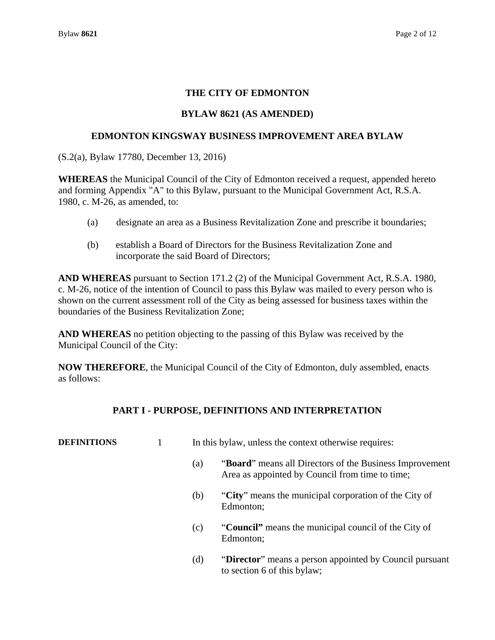## **THE CITY OF EDMONTON**

### **BYLAW 8621 (AS AMENDED)**

#### **EDMONTON KINGSWAY BUSINESS IMPROVEMENT AREA BYLAW**

(S.2(a), Bylaw 17780, December 13, 2016)

**WHEREAS** the Municipal Council of the City of Edmonton received a request, appended hereto and forming Appendix "A" to this Bylaw, pursuant to the Municipal Government Act, R.S.A. 1980, c. M-26, as amended, to:

- (a) designate an area as a Business Revitalization Zone and prescribe it boundaries;
- (b) establish a Board of Directors for the Business Revitalization Zone and incorporate the said Board of Directors;

**AND WHEREAS** pursuant to Section 171.2 (2) of the Municipal Government Act, R.S.A. 1980, c. M-26, notice of the intention of Council to pass this Bylaw was mailed to every person who is shown on the current assessment roll of the City as being assessed for business taxes within the boundaries of the Business Revitalization Zone;

**AND WHEREAS** no petition objecting to the passing of this Bylaw was received by the Municipal Council of the City:

**NOW THEREFORE**, the Municipal Council of the City of Edmonton, duly assembled, enacts as follows:

## **PART I - PURPOSE, DEFINITIONS AND INTERPRETATION**

| <b>DEFINITIONS</b> |     | In this bylaw, unless the context otherwise requires:                                                      |  |  |
|--------------------|-----|------------------------------------------------------------------------------------------------------------|--|--|
|                    | (a) | "Board" means all Directors of the Business Improvement<br>Area as appointed by Council from time to time; |  |  |
|                    | (b) | "City" means the municipal corporation of the City of<br>Edmonton;                                         |  |  |
|                    | (c) | "Council" means the municipal council of the City of<br>Edmonton;                                          |  |  |
|                    | (d) | "Director" means a person appointed by Council pursuant<br>to section 6 of this bylaw;                     |  |  |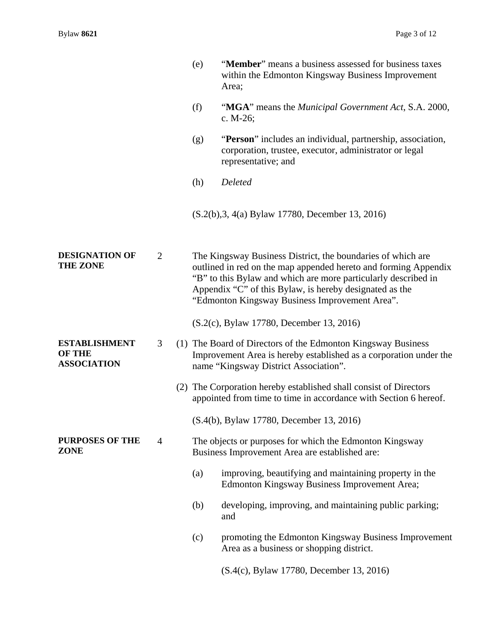|                                                             |                | (e) | "Member" means a business assessed for business taxes<br>within the Edmonton Kingsway Business Improvement<br>Area;                                                                                                                                                                                           |
|-------------------------------------------------------------|----------------|-----|---------------------------------------------------------------------------------------------------------------------------------------------------------------------------------------------------------------------------------------------------------------------------------------------------------------|
|                                                             |                | (f) | "MGA" means the <i>Municipal Government Act</i> , S.A. 2000,<br>c. $M-26$ ;                                                                                                                                                                                                                                   |
|                                                             |                | (g) | "Person" includes an individual, partnership, association,<br>corporation, trustee, executor, administrator or legal<br>representative; and                                                                                                                                                                   |
|                                                             |                | (h) | Deleted                                                                                                                                                                                                                                                                                                       |
|                                                             |                |     | (S.2(b), 3, 4(a) Bylaw 17780, December 13, 2016)                                                                                                                                                                                                                                                              |
| <b>DESIGNATION OF</b><br><b>THE ZONE</b>                    | $\overline{2}$ |     | The Kingsway Business District, the boundaries of which are<br>outlined in red on the map appended hereto and forming Appendix<br>"B" to this Bylaw and which are more particularly described in<br>Appendix "C" of this Bylaw, is hereby designated as the<br>"Edmonton Kingsway Business Improvement Area". |
|                                                             |                |     | (S.2(c), Bylaw 17780, December 13, 2016)                                                                                                                                                                                                                                                                      |
| <b>ESTABLISHMENT</b><br><b>OF THE</b><br><b>ASSOCIATION</b> | 3              |     | (1) The Board of Directors of the Edmonton Kingsway Business<br>Improvement Area is hereby established as a corporation under the<br>name "Kingsway District Association".                                                                                                                                    |
|                                                             |                |     | (2) The Corporation hereby established shall consist of Directors<br>appointed from time to time in accordance with Section 6 hereof.                                                                                                                                                                         |
|                                                             |                |     | (S.4(b), Bylaw 17780, December 13, 2016)                                                                                                                                                                                                                                                                      |
| <b>PURPOSES OF THE</b><br><b>ZONE</b>                       | $\overline{4}$ |     | The objects or purposes for which the Edmonton Kingsway<br>Business Improvement Area are established are:                                                                                                                                                                                                     |
|                                                             |                | (a) | improving, beautifying and maintaining property in the<br>Edmonton Kingsway Business Improvement Area;                                                                                                                                                                                                        |
|                                                             |                | (b) | developing, improving, and maintaining public parking;<br>and                                                                                                                                                                                                                                                 |
|                                                             |                | (c) | promoting the Edmonton Kingsway Business Improvement<br>Area as a business or shopping district.                                                                                                                                                                                                              |
|                                                             |                |     | (S.4(c), Bylaw 17780, December 13, 2016)                                                                                                                                                                                                                                                                      |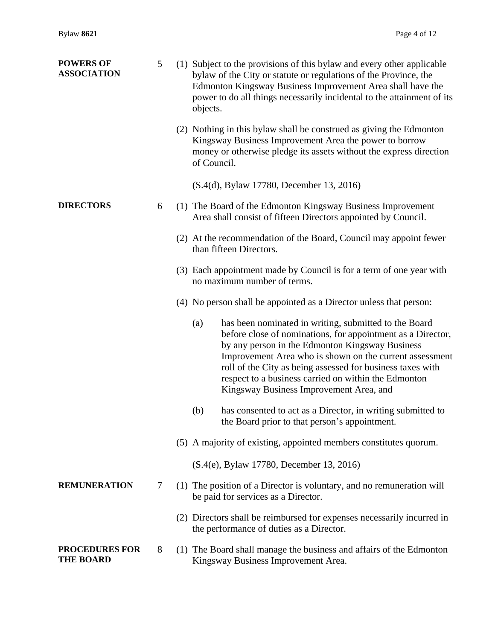| <b>POWERS OF</b><br><b>ASSOCIATION</b>    | 5      | (1) Subject to the provisions of this bylaw and every other applicable<br>bylaw of the City or statute or regulations of the Province, the<br>Edmonton Kingsway Business Improvement Area shall have the<br>power to do all things necessarily incidental to the attainment of its<br>objects.                                                                                                             |
|-------------------------------------------|--------|------------------------------------------------------------------------------------------------------------------------------------------------------------------------------------------------------------------------------------------------------------------------------------------------------------------------------------------------------------------------------------------------------------|
|                                           |        | (2) Nothing in this bylaw shall be construed as giving the Edmonton<br>Kingsway Business Improvement Area the power to borrow<br>money or otherwise pledge its assets without the express direction<br>of Council.                                                                                                                                                                                         |
|                                           |        | (S.4(d), Bylaw 17780, December 13, 2016)                                                                                                                                                                                                                                                                                                                                                                   |
| <b>DIRECTORS</b>                          | 6      | (1) The Board of the Edmonton Kingsway Business Improvement<br>Area shall consist of fifteen Directors appointed by Council.                                                                                                                                                                                                                                                                               |
|                                           |        | (2) At the recommendation of the Board, Council may appoint fewer<br>than fifteen Directors.                                                                                                                                                                                                                                                                                                               |
|                                           |        | (3) Each appointment made by Council is for a term of one year with<br>no maximum number of terms.                                                                                                                                                                                                                                                                                                         |
|                                           |        | (4) No person shall be appointed as a Director unless that person:                                                                                                                                                                                                                                                                                                                                         |
|                                           |        | has been nominated in writing, submitted to the Board<br>(a)<br>before close of nominations, for appointment as a Director,<br>by any person in the Edmonton Kingsway Business<br>Improvement Area who is shown on the current assessment<br>roll of the City as being assessed for business taxes with<br>respect to a business carried on within the Edmonton<br>Kingsway Business Improvement Area, and |
|                                           |        | (b)<br>has consented to act as a Director, in writing submitted to<br>the Board prior to that person's appointment.                                                                                                                                                                                                                                                                                        |
|                                           |        | (5) A majority of existing, appointed members constitutes quorum.                                                                                                                                                                                                                                                                                                                                          |
|                                           |        | (S.4(e), Bylaw 17780, December 13, 2016)                                                                                                                                                                                                                                                                                                                                                                   |
| <b>REMUNERATION</b>                       | $\tau$ | (1) The position of a Director is voluntary, and no remuneration will<br>be paid for services as a Director.                                                                                                                                                                                                                                                                                               |
|                                           |        | (2) Directors shall be reimbursed for expenses necessarily incurred in<br>the performance of duties as a Director.                                                                                                                                                                                                                                                                                         |
| <b>PROCEDURES FOR</b><br><b>THE BOARD</b> | 8      | (1) The Board shall manage the business and affairs of the Edmonton<br>Kingsway Business Improvement Area.                                                                                                                                                                                                                                                                                                 |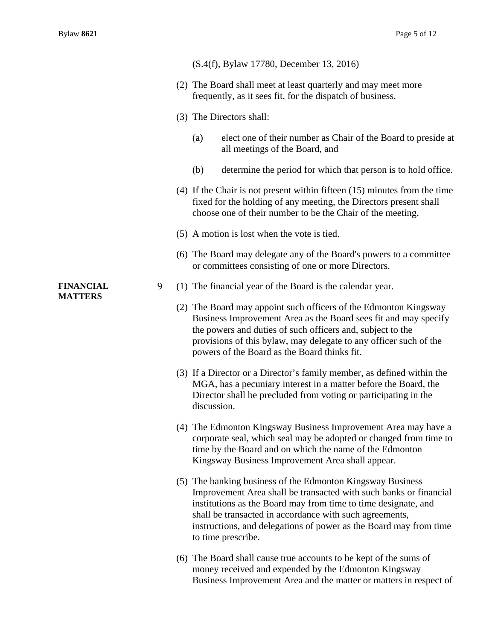|                                    |   | (S.4(f), Bylaw 17780, December 13, 2016)                                                                                                                                                                                                                                                                                                                |
|------------------------------------|---|---------------------------------------------------------------------------------------------------------------------------------------------------------------------------------------------------------------------------------------------------------------------------------------------------------------------------------------------------------|
|                                    |   | (2) The Board shall meet at least quarterly and may meet more<br>frequently, as it sees fit, for the dispatch of business.                                                                                                                                                                                                                              |
|                                    |   | (3) The Directors shall:                                                                                                                                                                                                                                                                                                                                |
|                                    |   | (a)<br>elect one of their number as Chair of the Board to preside at<br>all meetings of the Board, and                                                                                                                                                                                                                                                  |
|                                    |   | determine the period for which that person is to hold office.<br>(b)                                                                                                                                                                                                                                                                                    |
|                                    |   | $(4)$ If the Chair is not present within fifteen $(15)$ minutes from the time<br>fixed for the holding of any meeting, the Directors present shall<br>choose one of their number to be the Chair of the meeting.                                                                                                                                        |
|                                    |   | (5) A motion is lost when the vote is tied.                                                                                                                                                                                                                                                                                                             |
|                                    |   | (6) The Board may delegate any of the Board's powers to a committee<br>or committees consisting of one or more Directors.                                                                                                                                                                                                                               |
| <b>FINANCIAL</b><br><b>MATTERS</b> | 9 | (1) The financial year of the Board is the calendar year.                                                                                                                                                                                                                                                                                               |
|                                    |   | (2) The Board may appoint such officers of the Edmonton Kingsway<br>Business Improvement Area as the Board sees fit and may specify<br>the powers and duties of such officers and, subject to the<br>provisions of this bylaw, may delegate to any officer such of the<br>powers of the Board as the Board thinks fit.                                  |
|                                    |   | (3) If a Director or a Director's family member, as defined within the<br>MGA, has a pecuniary interest in a matter before the Board, the<br>Director shall be precluded from voting or participating in the<br>discussion.                                                                                                                             |
|                                    |   | (4) The Edmonton Kingsway Business Improvement Area may have a<br>corporate seal, which seal may be adopted or changed from time to<br>time by the Board and on which the name of the Edmonton<br>Kingsway Business Improvement Area shall appear.                                                                                                      |
|                                    |   | (5) The banking business of the Edmonton Kingsway Business<br>Improvement Area shall be transacted with such banks or financial<br>institutions as the Board may from time to time designate, and<br>shall be transacted in accordance with such agreements,<br>instructions, and delegations of power as the Board may from time<br>to time prescribe. |
|                                    |   | (6) The Board shall cause true accounts to be kept of the sums of<br>money received and expended by the Edmonton Kingsway<br>Business Improvement Area and the matter or matters in respect of                                                                                                                                                          |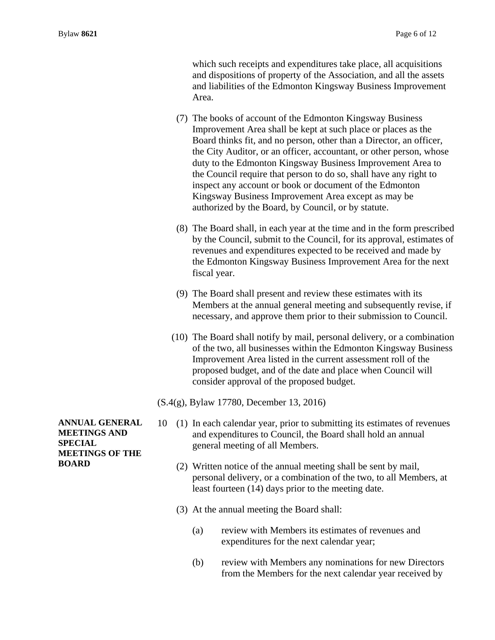which such receipts and expenditures take place, all acquisitions and dispositions of property of the Association, and all the assets and liabilities of the Edmonton Kingsway Business Improvement Area.

- (7) The books of account of the Edmonton Kingsway Business Improvement Area shall be kept at such place or places as the Board thinks fit, and no person, other than a Director, an officer, the City Auditor, or an officer, accountant, or other person, whose duty to the Edmonton Kingsway Business Improvement Area to the Council require that person to do so, shall have any right to inspect any account or book or document of the Edmonton Kingsway Business Improvement Area except as may be authorized by the Board, by Council, or by statute.
- (8) The Board shall, in each year at the time and in the form prescribed by the Council, submit to the Council, for its approval, estimates of revenues and expenditures expected to be received and made by the Edmonton Kingsway Business Improvement Area for the next fiscal year.
- (9) The Board shall present and review these estimates with its Members at the annual general meeting and subsequently revise, if necessary, and approve them prior to their submission to Council.
- (10) The Board shall notify by mail, personal delivery, or a combination of the two, all businesses within the Edmonton Kingsway Business Improvement Area listed in the current assessment roll of the proposed budget, and of the date and place when Council will consider approval of the proposed budget.
- (S.4(g), Bylaw 17780, December 13, 2016)
- 10 (1) In each calendar year, prior to submitting its estimates of revenues and expenditures to Council, the Board shall hold an annual general meeting of all Members.
	- (2) Written notice of the annual meeting shall be sent by mail, personal delivery, or a combination of the two, to all Members, at least fourteen (14) days prior to the meeting date.
	- (3) At the annual meeting the Board shall:
		- (a) review with Members its estimates of revenues and expenditures for the next calendar year;
		- (b) review with Members any nominations for new Directors from the Members for the next calendar year received by

**ANNUAL GENERAL MEETINGS AND SPECIAL MEETINGS OF THE BOARD**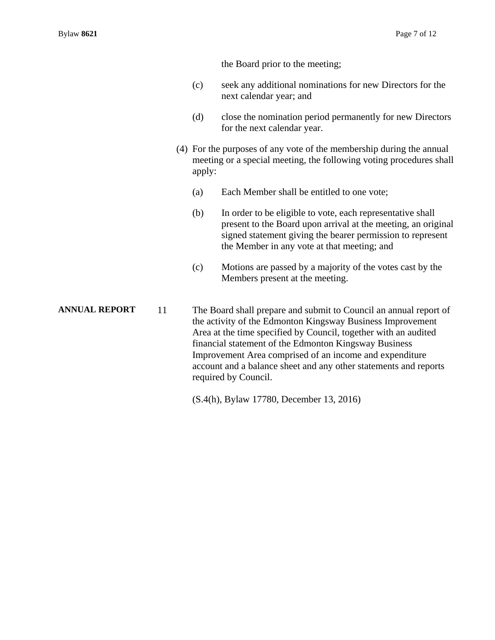the Board prior to the meeting;

- (c) seek any additional nominations for new Directors for the next calendar year; and
- (d) close the nomination period permanently for new Directors for the next calendar year.
- (4) For the purposes of any vote of the membership during the annual meeting or a special meeting, the following voting procedures shall apply:
	- (a) Each Member shall be entitled to one vote;
	- (b) In order to be eligible to vote, each representative shall present to the Board upon arrival at the meeting, an original signed statement giving the bearer permission to represent the Member in any vote at that meeting; and
	- (c) Motions are passed by a majority of the votes cast by the Members present at the meeting.

**ANNUAL REPORT** 11 The Board shall prepare and submit to Council an annual report of the activity of the Edmonton Kingsway Business Improvement Area at the time specified by Council, together with an audited financial statement of the Edmonton Kingsway Business Improvement Area comprised of an income and expenditure account and a balance sheet and any other statements and reports required by Council.

(S.4(h), Bylaw 17780, December 13, 2016)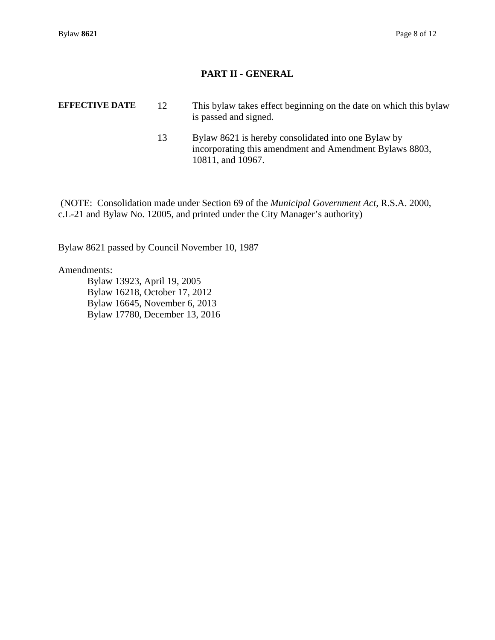### **PART II - GENERAL**

- **EFFECTIVE DATE** 12 This bylaw takes effect beginning on the date on which this bylaw is passed and signed.
	- 13 Bylaw 8621 is hereby consolidated into one Bylaw by incorporating this amendment and Amendment Bylaws 8803, 10811, and 10967.

 (NOTE: Consolidation made under Section 69 of the *Municipal Government Act,* R.S.A. 2000, c.L-21 and Bylaw No. 12005, and printed under the City Manager's authority)

Bylaw 8621 passed by Council November 10, 1987

Amendments:

 Bylaw 13923, April 19, 2005 Bylaw 16218, October 17, 2012 Bylaw 16645, November 6, 2013 Bylaw 17780, December 13, 2016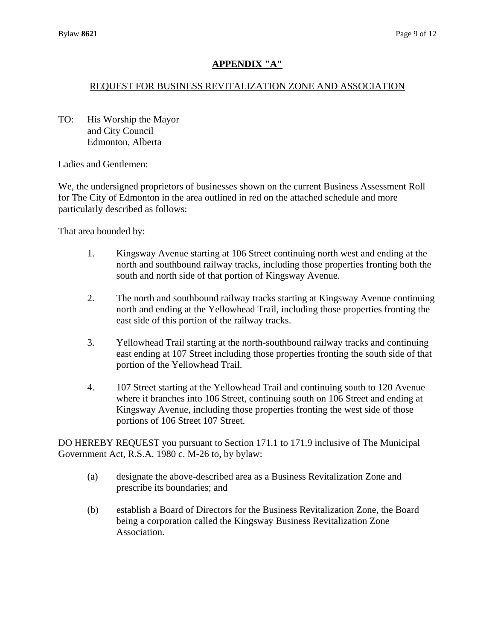## **APPENDIX "A"**

### REQUEST FOR BUSINESS REVITALIZATION ZONE AND ASSOCIATION

TO: His Worship the Mayor and City Council Edmonton, Alberta

Ladies and Gentlemen:

We, the undersigned proprietors of businesses shown on the current Business Assessment Roll for The City of Edmonton in the area outlined in red on the attached schedule and more particularly described as follows:

That area bounded by:

- 1. Kingsway Avenue starting at 106 Street continuing north west and ending at the north and southbound railway tracks, including those properties fronting both the south and north side of that portion of Kingsway Avenue.
- 2. The north and southbound railway tracks starting at Kingsway Avenue continuing north and ending at the Yellowhead Trail, including those properties fronting the east side of this portion of the railway tracks.
- 3. Yellowhead Trail starting at the north-southbound railway tracks and continuing east ending at 107 Street including those properties fronting the south side of that portion of the Yellowhead Trail.
- 4. 107 Street starting at the Yellowhead Trail and continuing south to 120 Avenue where it branches into 106 Street, continuing south on 106 Street and ending at Kingsway Avenue, including those properties fronting the west side of those portions of 106 Street 107 Street.

DO HEREBY REQUEST you pursuant to Section 171.1 to 171.9 inclusive of The Municipal Government Act, R.S.A. 1980 c. M-26 to, by bylaw:

- (a) designate the above-described area as a Business Revitalization Zone and prescribe its boundaries; and
- (b) establish a Board of Directors for the Business Revitalization Zone, the Board being a corporation called the Kingsway Business Revitalization Zone Association.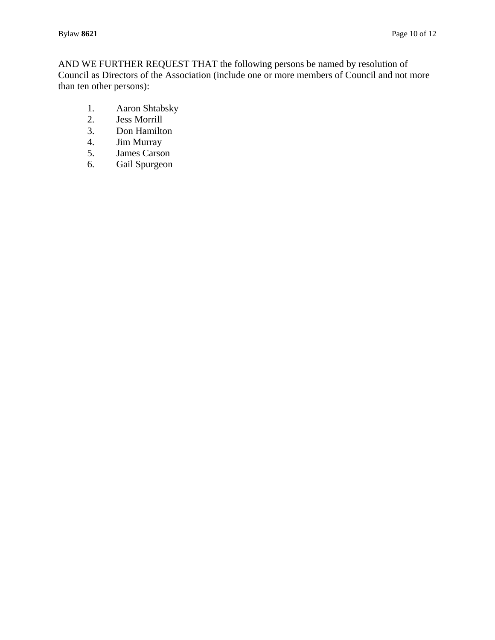AND WE FURTHER REQUEST THAT the following persons be named by resolution of Council as Directors of the Association (include one or more members of Council and not more than ten other persons):

- 1. Aaron Shtabsky<br>2. Jess Morrill
- Jess Morrill
- 3. Don Hamilton
- 4. **Jim Murray**<br>5. **James Carso**
- James Carson
- 6. Gail Spurgeon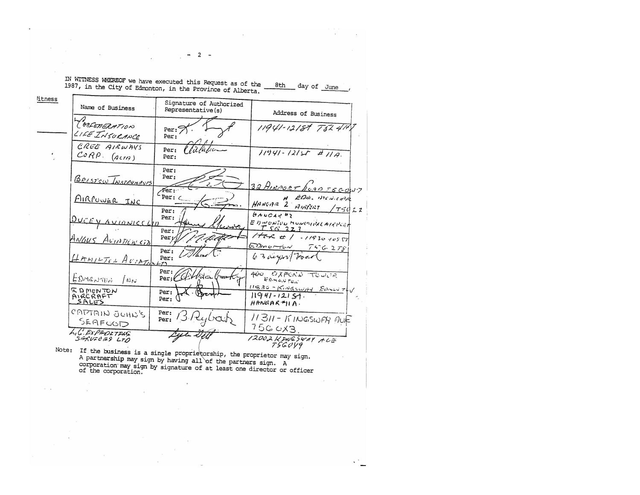| litness |                                      |                                              |                                                                             |
|---------|--------------------------------------|----------------------------------------------|-----------------------------------------------------------------------------|
|         | Name of Business                     | Signature of Authorized<br>Representative(s) | Address of Business                                                         |
|         | TONFEMERATION<br>LIFE INSURANCE      | Per:<br>Per:                                 | 11941-12181 75241+                                                          |
|         | CREE AIRWAYS<br>$CORP.$ $(Aun)$      | Villafic<br>Per:<br>Per:                     | $11941 - 12157 + 118$                                                       |
|         | BRISTOW INSTRUMENTS                  | Per:<br>Per:                                 | 32 AIRPORT NOSO TSCONT                                                      |
|         | AIRPUNER INC                         | Fer:<br>Per: $\zeta$<br>Per:                 | EDM. MONCHAN<br>HANGAR 2 AIRPORT<br>75022                                   |
|         | <u>DUCEY AVIONICSCOD</u>             | Per:<br>Per:                                 | HAUCAREZ<br>ED MONTON MONTANICAL AMPORT<br>TSG223                           |
|         | ANGUS AVIDDINCIA                     | Per:<br>-C'Au<br>Per:                        | $1772$ # 1 - 11930 10557<br>$E$ Donorfor<br>7556278                         |
|         | HAMILTON AUIATIONED                  | Per:                                         | 63 days Trace                                                               |
|         | EDMONTEN<br>$\sqrt{M}$               | Per:<br>Per: CGYMda                          | 400 OXFORD TOWER<br>$F$ $0.420$ $706$<br>$11530 - 15.04560/14$ Even $7 + 6$ |
|         | <b>EDMONTON</b><br>AIRCRAFT<br>SALES | Per:<br>Per:                                 | $11941 - 12151$ .<br>$H$ ANGAR <sup>#</sup> $H$ A.                          |
|         | ל' הואיט טיווג'א<br>SEAFOOD          | Per:<br>13 Rybar<br>Per:                     | 11311-KINGSWAY PUF<br>75G OXB.                                              |
|         | LIC. EXPEDETING<br>SERVECES LTD      |                                              | 12002 KENESWAY ALE<br>T5GUV9                                                |

 $-2-$ 

 $\lambda$ 

 $\sim 10$ 

 $\mathcal{F}=\mathcal{F}$  . The contract  $\mathcal{F}$  is a set of  $\mathcal{F}$ 

 $\alpha$  ,  $\alpha$  ,  $\alpha$ 

Note: If the business is a single proprietorship, the proprietor may sign.<br>A partnership may sign by having all of the partners sign. A corporation may sign by signature of at least one director or officer of the corporati

 $\mathbf{r}$ 

 $\sim$   $\chi$ 

 $\mathbf{v}^{\mathrm{in}}$ 

 $\sim 10^{-11}$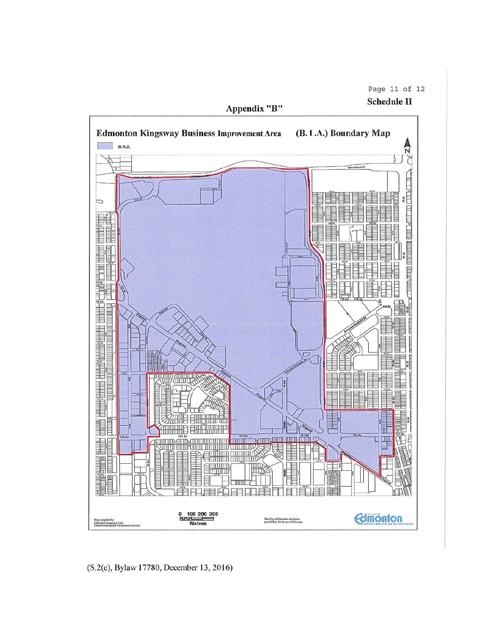Page 11 of 12

**Schedule II** 



(S.2(e), Bylaw 17780, December 13, 2016)